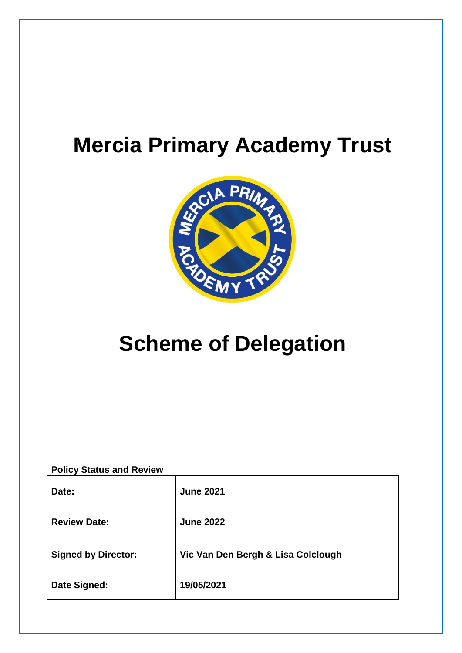# **Mercia Primary Academy Trust**



# **Scheme of Delegation**

**Policy Status and Review**

| Date:                      | <b>June 2021</b>                   |
|----------------------------|------------------------------------|
| <b>Review Date:</b>        | <b>June 2022</b>                   |
| <b>Signed by Director:</b> | Vic Van Den Bergh & Lisa Colclough |
| Date Signed:               | 19/05/2021                         |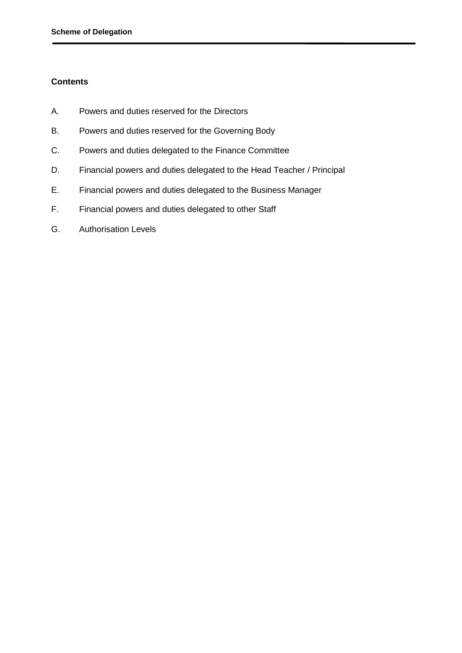## **Contents**

- A. Powers and duties reserved for the Directors
- B. Powers and duties reserved for the Governing Body
- C. Powers and duties delegated to the Finance Committee
- D. Financial powers and duties delegated to the Head Teacher / Principal
- E. Financial powers and duties delegated to the Business Manager
- F. Financial powers and duties delegated to other Staff
- G. Authorisation Levels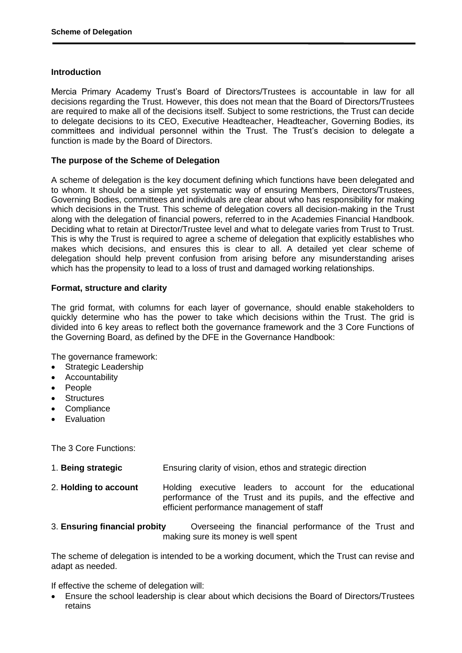### **Introduction**

Mercia Primary Academy Trust's Board of Directors/Trustees is accountable in law for all decisions regarding the Trust. However, this does not mean that the Board of Directors/Trustees are required to make all of the decisions itself. Subject to some restrictions, the Trust can decide to delegate decisions to its CEO, Executive Headteacher, Headteacher, Governing Bodies, its committees and individual personnel within the Trust. The Trust's decision to delegate a function is made by the Board of Directors.

## **The purpose of the Scheme of Delegation**

A scheme of delegation is the key document defining which functions have been delegated and to whom. It should be a simple yet systematic way of ensuring Members, Directors/Trustees, Governing Bodies, committees and individuals are clear about who has responsibility for making which decisions in the Trust. This scheme of delegation covers all decision-making in the Trust along with the delegation of financial powers, referred to in the Academies Financial Handbook. Deciding what to retain at Director/Trustee level and what to delegate varies from Trust to Trust. This is why the Trust is required to agree a scheme of delegation that explicitly establishes who makes which decisions, and ensures this is clear to all. A detailed yet clear scheme of delegation should help prevent confusion from arising before any misunderstanding arises which has the propensity to lead to a loss of trust and damaged working relationships.

### **Format, structure and clarity**

The grid format, with columns for each layer of governance, should enable stakeholders to quickly determine who has the power to take which decisions within the Trust. The grid is divided into 6 key areas to reflect both the governance framework and the 3 Core Functions of the Governing Board, as defined by the DFE in the Governance Handbook:

The governance framework:

- Strategic Leadership
- Accountability
- People
- **Structures**
- **Compliance**
- Evaluation

The 3 Core Functions:

- 1. **Being strategic** Ensuring clarity of vision, ethos and strategic direction
- 2. **Holding to account** Holding executive leaders to account for the educational performance of the Trust and its pupils, and the effective and efficient performance management of staff
- 3. **Ensuring financial probity** Overseeing the financial performance of the Trust and making sure its money is well spent

The scheme of delegation is intended to be a working document, which the Trust can revise and adapt as needed.

If effective the scheme of delegation will:

 Ensure the school leadership is clear about which decisions the Board of Directors/Trustees retains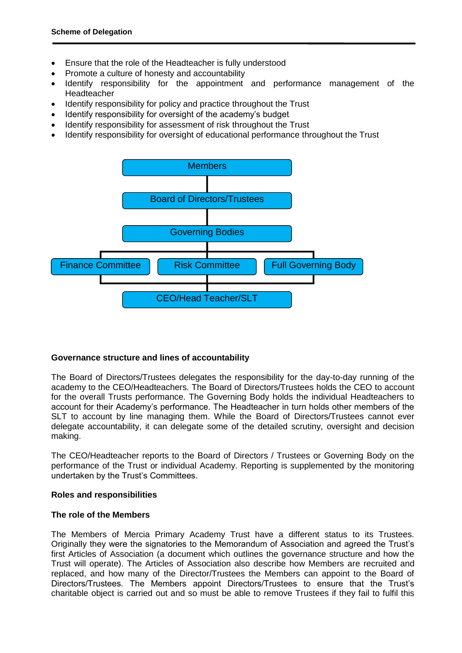- Ensure that the role of the Headteacher is fully understood
- Promote a culture of honesty and accountability
- Identify responsibility for the appointment and performance management of the Headteacher
- Identify responsibility for policy and practice throughout the Trust
- Identify responsibility for oversight of the academy's budget
- Identify responsibility for assessment of risk throughout the Trust
- Identify responsibility for oversight of educational performance throughout the Trust



#### **Governance structure and lines of accountability**

The Board of Directors/Trustees delegates the responsibility for the day-to-day running of the academy to the CEO/Headteachers. The Board of Directors/Trustees holds the CEO to account for the overall Trusts performance. The Governing Body holds the individual Headteachers to account for their Academy's performance. The Headteacher in turn holds other members of the SLT to account by line managing them. While the Board of Directors/Trustees cannot ever delegate accountability, it can delegate some of the detailed scrutiny, oversight and decision making.

The CEO/Headteacher reports to the Board of Directors / Trustees or Governing Body on the performance of the Trust or individual Academy. Reporting is supplemented by the monitoring undertaken by the Trust's Committees.

#### **Roles and responsibilities**

## **The role of the Members**

The Members of Mercia Primary Academy Trust have a different status to its Trustees. Originally they were the signatories to the Memorandum of Association and agreed the Trust's first Articles of Association (a document which outlines the governance structure and how the Trust will operate). The Articles of Association also describe how Members are recruited and replaced, and how many of the Director/Trustees the Members can appoint to the Board of Directors/Trustees. The Members appoint Directors/Trustees to ensure that the Trust's charitable object is carried out and so must be able to remove Trustees if they fail to fulfil this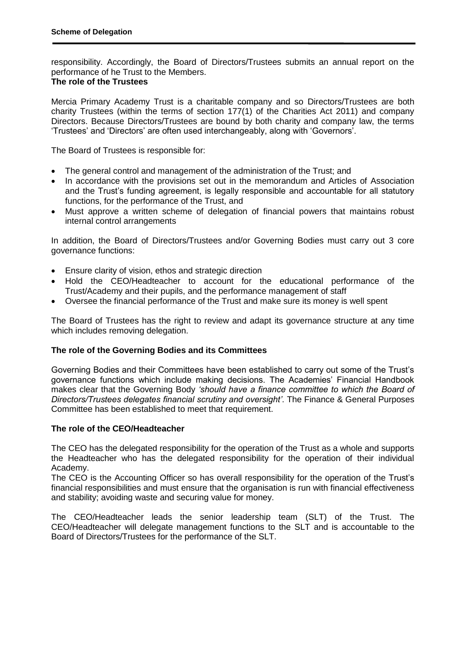responsibility. Accordingly, the Board of Directors/Trustees submits an annual report on the performance of he Trust to the Members.

# **The role of the Trustees**

Mercia Primary Academy Trust is a charitable company and so Directors/Trustees are both charity Trustees (within the terms of section 177(1) of the Charities Act 2011) and company Directors. Because Directors/Trustees are bound by both charity and company law, the terms 'Trustees' and 'Directors' are often used interchangeably, along with 'Governors'.

The Board of Trustees is responsible for:

- The general control and management of the administration of the Trust; and
- In accordance with the provisions set out in the memorandum and Articles of Association and the Trust's funding agreement, is legally responsible and accountable for all statutory functions, for the performance of the Trust, and
- Must approve a written scheme of delegation of financial powers that maintains robust internal control arrangements

In addition, the Board of Directors/Trustees and/or Governing Bodies must carry out 3 core governance functions:

- Ensure clarity of vision, ethos and strategic direction
- Hold the CEO/Headteacher to account for the educational performance of the Trust/Academy and their pupils, and the performance management of staff
- Oversee the financial performance of the Trust and make sure its money is well spent

The Board of Trustees has the right to review and adapt its governance structure at any time which includes removing delegation.

## **The role of the Governing Bodies and its Committees**

Governing Bodies and their Committees have been established to carry out some of the Trust's governance functions which include making decisions. The Academies' Financial Handbook makes clear that the Governing Body *'should have a finance committee to which the Board of Directors/Trustees delegates financial scrutiny and oversight'*. The Finance & General Purposes Committee has been established to meet that requirement.

#### **The role of the CEO/Headteacher**

The CEO has the delegated responsibility for the operation of the Trust as a whole and supports the Headteacher who has the delegated responsibility for the operation of their individual Academy.

The CEO is the Accounting Officer so has overall responsibility for the operation of the Trust's financial responsibilities and must ensure that the organisation is run with financial effectiveness and stability; avoiding waste and securing value for money.

The CEO/Headteacher leads the senior leadership team (SLT) of the Trust. The CEO/Headteacher will delegate management functions to the SLT and is accountable to the Board of Directors/Trustees for the performance of the SLT.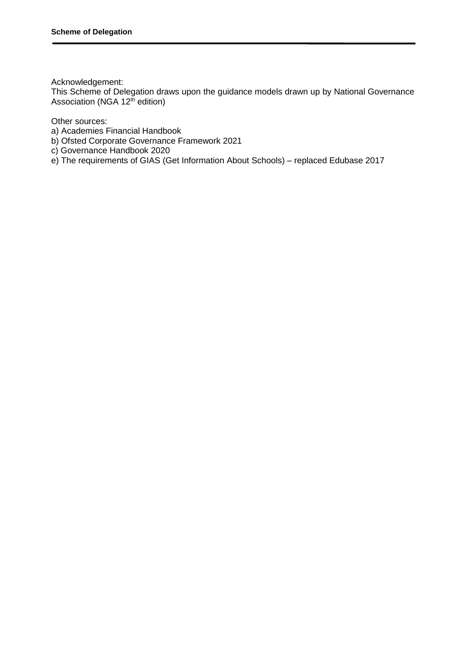Acknowledgement:

This Scheme of Delegation draws upon the guidance models drawn up by National Governance Association (NGA 12<sup>th</sup> edition)

Other sources:

- a) Academies Financial Handbook
- b) Ofsted Corporate Governance Framework 2021
- c) Governance Handbook 2020

e) The requirements of GIAS (Get Information About Schools) – replaced Edubase 2017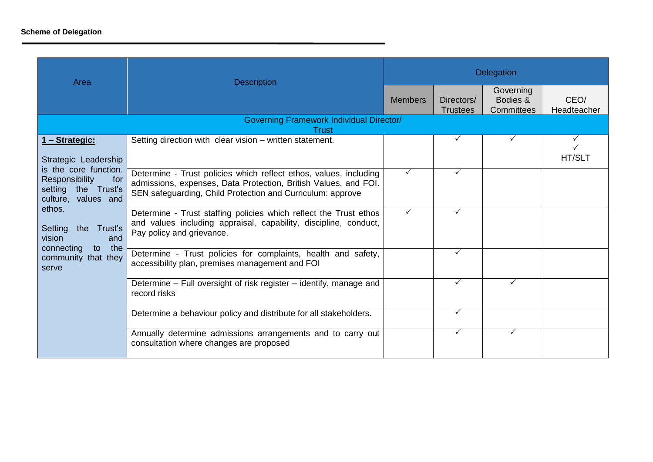| Area                                                                                                      | <b>Description</b>                                                                                                                                                                                 | <b>Delegation</b> |                               |                                     |                               |
|-----------------------------------------------------------------------------------------------------------|----------------------------------------------------------------------------------------------------------------------------------------------------------------------------------------------------|-------------------|-------------------------------|-------------------------------------|-------------------------------|
|                                                                                                           |                                                                                                                                                                                                    | <b>Members</b>    | Directors/<br><b>Trustees</b> | Governing<br>Bodies &<br>Committees | CEO/<br>Headteacher           |
|                                                                                                           | <b>Governing Framework Individual Director/</b><br><b>Trust</b>                                                                                                                                    |                   |                               |                                     |                               |
| 1 - Strategic:<br>Strategic Leadership                                                                    | Setting direction with clear vision - written statement.                                                                                                                                           |                   | $\checkmark$                  | ✓                                   | $\checkmark$<br><b>HT/SLT</b> |
| is the core function.<br>Responsibility<br>for<br>setting the Trust's<br>culture, values and              | Determine - Trust policies which reflect ethos, values, including<br>admissions, expenses, Data Protection, British Values, and FOI.<br>SEN safeguarding, Child Protection and Curriculum: approve | $\checkmark$      |                               |                                     |                               |
| ethos.<br>Setting<br>the Trust's<br>vision<br>and<br>connecting<br>to the<br>community that they<br>serve | Determine - Trust staffing policies which reflect the Trust ethos<br>and values including appraisal, capability, discipline, conduct,<br>Pay policy and grievance.                                 | $\checkmark$      |                               |                                     |                               |
|                                                                                                           | Determine - Trust policies for complaints, health and safety,<br>accessibility plan, premises management and FOI                                                                                   |                   | ✓                             |                                     |                               |
|                                                                                                           | Determine – Full oversight of risk register – identify, manage and<br>record risks                                                                                                                 |                   |                               | ✓                                   |                               |
|                                                                                                           | Determine a behaviour policy and distribute for all stakeholders.                                                                                                                                  |                   | $\checkmark$                  |                                     |                               |
|                                                                                                           | Annually determine admissions arrangements and to carry out<br>consultation where changes are proposed                                                                                             |                   | $\checkmark$                  | ✓                                   |                               |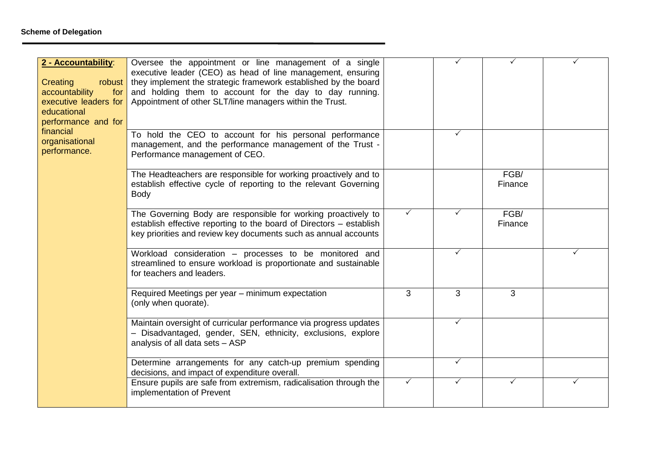| 2 - Accountability:<br>Creating<br>robust<br>accountability<br>for<br>executive leaders for<br>educational<br>performance and for | Oversee the appointment or line management of a single<br>executive leader (CEO) as head of line management, ensuring<br>they implement the strategic framework established by the board<br>and holding them to account for the day to day running.<br>Appointment of other SLT/line managers within the Trust. |              |              |                 |   |
|-----------------------------------------------------------------------------------------------------------------------------------|-----------------------------------------------------------------------------------------------------------------------------------------------------------------------------------------------------------------------------------------------------------------------------------------------------------------|--------------|--------------|-----------------|---|
| financial<br>organisational<br>performance.                                                                                       | To hold the CEO to account for his personal performance<br>management, and the performance management of the Trust -<br>Performance management of CEO.                                                                                                                                                          |              | ✓            |                 |   |
|                                                                                                                                   | The Headteachers are responsible for working proactively and to<br>establish effective cycle of reporting to the relevant Governing<br><b>Body</b>                                                                                                                                                              |              |              | FGB/<br>Finance |   |
|                                                                                                                                   | The Governing Body are responsible for working proactively to<br>establish effective reporting to the board of Directors - establish<br>key priorities and review key documents such as annual accounts                                                                                                         | $\checkmark$ |              | FGB/<br>Finance |   |
|                                                                                                                                   | Workload consideration - processes to be monitored and<br>streamlined to ensure workload is proportionate and sustainable<br>for teachers and leaders.                                                                                                                                                          |              |              |                 | ✓ |
|                                                                                                                                   | Required Meetings per year - minimum expectation<br>(only when quorate).                                                                                                                                                                                                                                        | 3            | 3            | 3               |   |
|                                                                                                                                   | Maintain oversight of curricular performance via progress updates<br>- Disadvantaged, gender, SEN, ethnicity, exclusions, explore<br>analysis of all data sets - ASP                                                                                                                                            |              | $\checkmark$ |                 |   |
|                                                                                                                                   | Determine arrangements for any catch-up premium spending<br>decisions, and impact of expenditure overall.                                                                                                                                                                                                       |              | $\checkmark$ |                 |   |
|                                                                                                                                   | Ensure pupils are safe from extremism, radicalisation through the<br>implementation of Prevent                                                                                                                                                                                                                  | ✓            |              | ✓               |   |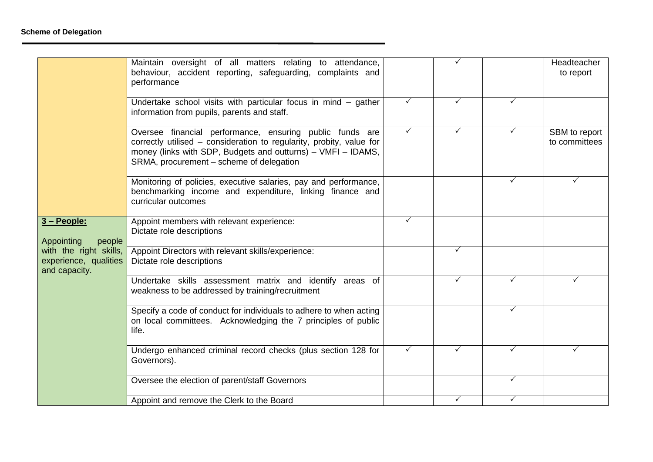|                                                                                                         | Maintain oversight of all matters relating to attendance,<br>behaviour, accident reporting, safeguarding, complaints and<br>performance                                                                                                      |              |   |   | Headteacher<br>to report       |
|---------------------------------------------------------------------------------------------------------|----------------------------------------------------------------------------------------------------------------------------------------------------------------------------------------------------------------------------------------------|--------------|---|---|--------------------------------|
|                                                                                                         | Undertake school visits with particular focus in mind $-$ gather<br>information from pupils, parents and staff.                                                                                                                              | ✓            |   | ✓ |                                |
|                                                                                                         | Oversee financial performance, ensuring public funds are<br>correctly utilised - consideration to regularity, probity, value for<br>money (links with SDP, Budgets and outturns) - VMFI - IDAMS,<br>SRMA, procurement - scheme of delegation | ✓            |   | ✓ | SBM to report<br>to committees |
|                                                                                                         | Monitoring of policies, executive salaries, pay and performance,<br>benchmarking income and expenditure, linking finance and<br>curricular outcomes                                                                                          |              |   | ✓ |                                |
| 3 - People:<br>Appointing<br>people<br>with the right skills,<br>experience, qualities<br>and capacity. | Appoint members with relevant experience:<br>Dictate role descriptions                                                                                                                                                                       | $\checkmark$ |   |   |                                |
|                                                                                                         | Appoint Directors with relevant skills/experience:<br>Dictate role descriptions                                                                                                                                                              |              |   |   |                                |
|                                                                                                         | Undertake skills assessment matrix and identify areas of<br>weakness to be addressed by training/recruitment                                                                                                                                 |              |   | ✓ | ✓                              |
|                                                                                                         | Specify a code of conduct for individuals to adhere to when acting<br>on local committees. Acknowledging the 7 principles of public<br>life.                                                                                                 |              |   | ✓ |                                |
|                                                                                                         | Undergo enhanced criminal record checks (plus section 128 for<br>Governors).                                                                                                                                                                 | $\checkmark$ | ✓ | ✓ | ✓                              |
|                                                                                                         | Oversee the election of parent/staff Governors                                                                                                                                                                                               |              |   | ✓ |                                |
|                                                                                                         | Appoint and remove the Clerk to the Board                                                                                                                                                                                                    |              |   |   |                                |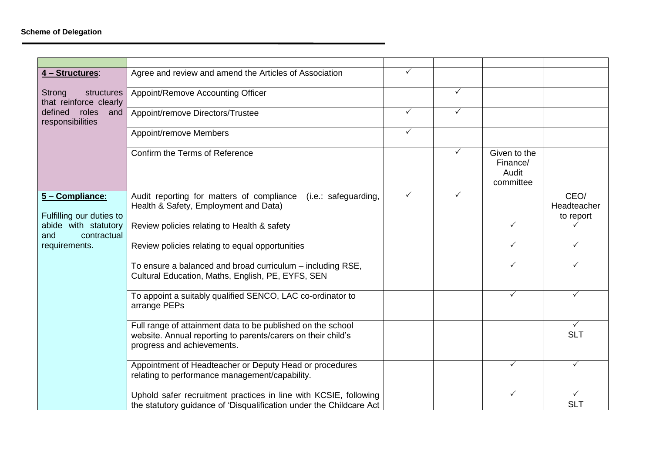| 4 - Structures:                                | Agree and review and amend the Articles of Association                                                                                                    | $\checkmark$ |   |                                                |                                  |
|------------------------------------------------|-----------------------------------------------------------------------------------------------------------------------------------------------------------|--------------|---|------------------------------------------------|----------------------------------|
| Strong<br>structures<br>that reinforce clearly | Appoint/Remove Accounting Officer                                                                                                                         |              | ✓ |                                                |                                  |
| defined roles and<br>responsibilities          | Appoint/remove Directors/Trustee                                                                                                                          | $\checkmark$ | ✓ |                                                |                                  |
|                                                | Appoint/remove Members                                                                                                                                    | $\checkmark$ |   |                                                |                                  |
|                                                | Confirm the Terms of Reference                                                                                                                            |              | ✓ | Given to the<br>Finance/<br>Audit<br>committee |                                  |
| 5 - Compliance:<br>Fulfilling our duties to    | Audit reporting for matters of compliance<br>(i.e.: safeguarding,<br>Health & Safety, Employment and Data)                                                | $\checkmark$ | ✓ |                                                | CEO/<br>Headteacher<br>to report |
| abide with statutory<br>contractual<br>and     | Review policies relating to Health & safety                                                                                                               |              |   | ✓                                              |                                  |
| requirements.                                  | Review policies relating to equal opportunities                                                                                                           |              |   | $\checkmark$                                   | $\checkmark$                     |
|                                                | To ensure a balanced and broad curriculum - including RSE,<br>Cultural Education, Maths, English, PE, EYFS, SEN                                           |              |   | ✓                                              | ✓                                |
|                                                | To appoint a suitably qualified SENCO, LAC co-ordinator to<br>arrange PEPs                                                                                |              |   | ✓                                              | $\checkmark$                     |
|                                                | Full range of attainment data to be published on the school<br>website. Annual reporting to parents/carers on their child's<br>progress and achievements. |              |   |                                                | $\checkmark$<br><b>SLT</b>       |
|                                                | Appointment of Headteacher or Deputy Head or procedures<br>relating to performance management/capability.                                                 |              |   | ✓                                              | $\checkmark$                     |
|                                                | Uphold safer recruitment practices in line with KCSIE, following<br>the statutory guidance of 'Disqualification under the Childcare Act                   |              |   | $\checkmark$                                   | $\checkmark$<br><b>SLT</b>       |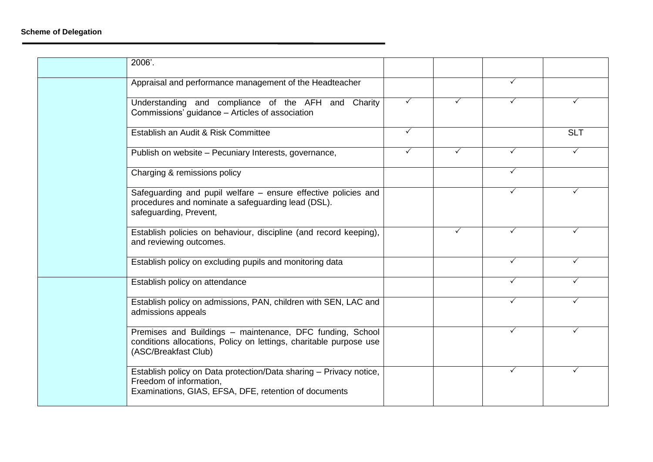| 2006'.                                                                                                                                                  |              |   |              |              |
|---------------------------------------------------------------------------------------------------------------------------------------------------------|--------------|---|--------------|--------------|
| Appraisal and performance management of the Headteacher                                                                                                 |              |   | ✓            |              |
| Understanding and compliance of the AFH and<br>Charity<br>Commissions' guidance - Articles of association                                               | $\checkmark$ |   | ✓            | ✓            |
| Establish an Audit & Risk Committee                                                                                                                     | $\checkmark$ |   |              | <b>SLT</b>   |
| Publish on website - Pecuniary Interests, governance,                                                                                                   | ✓            | ✓ | ✓            | ✓            |
| Charging & remissions policy                                                                                                                            |              |   | $\checkmark$ |              |
| Safeguarding and pupil welfare - ensure effective policies and<br>procedures and nominate a safeguarding lead (DSL).<br>safeguarding, Prevent,          |              |   | $\checkmark$ | ✓            |
| Establish policies on behaviour, discipline (and record keeping),<br>and reviewing outcomes.                                                            |              |   | ✓            |              |
| Establish policy on excluding pupils and monitoring data                                                                                                |              |   | $\checkmark$ | $\checkmark$ |
| Establish policy on attendance                                                                                                                          |              |   | ✓            | ✓            |
| Establish policy on admissions, PAN, children with SEN, LAC and<br>admissions appeals                                                                   |              |   | ✓            |              |
| Premises and Buildings - maintenance, DFC funding, School<br>conditions allocations, Policy on lettings, charitable purpose use<br>(ASC/Breakfast Club) |              |   | ✓            | ✓            |
| Establish policy on Data protection/Data sharing - Privacy notice,<br>Freedom of information,<br>Examinations, GIAS, EFSA, DFE, retention of documents  |              |   | ✓            | ✓            |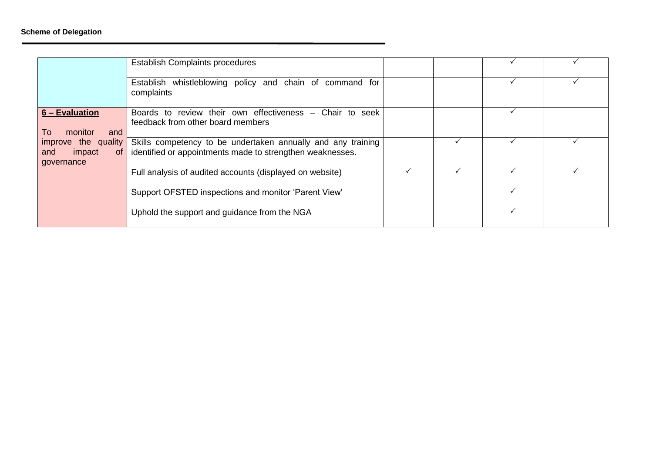|                                                                          | <b>Establish Complaints procedures</b>                                                                                    |  |  |
|--------------------------------------------------------------------------|---------------------------------------------------------------------------------------------------------------------------|--|--|
|                                                                          | Establish whistleblowing policy and chain of command for<br>complaints                                                    |  |  |
| 6 – Evaluation<br>monitor<br>and<br>10                                   | Boards to review their own effectiveness - Chair to seek<br>feedback from other board members                             |  |  |
| improve the quality<br>impact<br>and<br>$\circ$ of $\vert$<br>governance | Skills competency to be undertaken annually and any training<br>identified or appointments made to strengthen weaknesses. |  |  |
|                                                                          | Full analysis of audited accounts (displayed on website)                                                                  |  |  |
|                                                                          | Support OFSTED inspections and monitor 'Parent View'                                                                      |  |  |
|                                                                          | Uphold the support and guidance from the NGA                                                                              |  |  |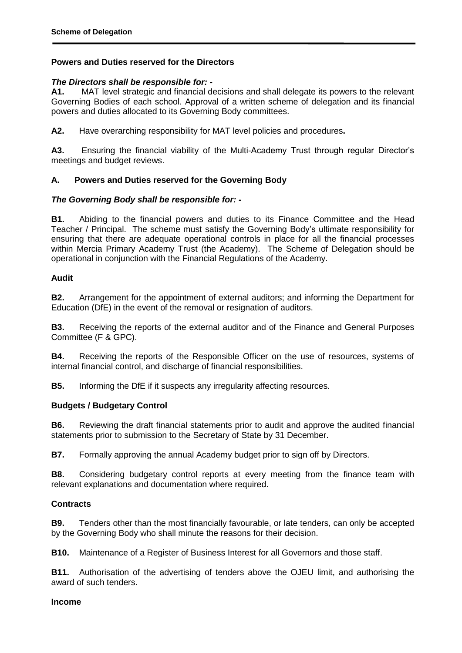## **Powers and Duties reserved for the Directors**

## *The Directors shall be responsible for: -*

**A1.** MAT level strategic and financial decisions and shall delegate its powers to the relevant Governing Bodies of each school. Approval of a written scheme of delegation and its financial powers and duties allocated to its Governing Body committees.

**A2.** Have overarching responsibility for MAT level policies and procedures**.** 

**A3.** Ensuring the financial viability of the Multi-Academy Trust through regular Director's meetings and budget reviews.

## **A. Powers and Duties reserved for the Governing Body**

## *The Governing Body shall be responsible for: -*

**B1.** Abiding to the financial powers and duties to its Finance Committee and the Head Teacher / Principal. The scheme must satisfy the Governing Body's ultimate responsibility for ensuring that there are adequate operational controls in place for all the financial processes within Mercia Primary Academy Trust (the Academy). The Scheme of Delegation should be operational in conjunction with the Financial Regulations of the Academy.

## **Audit**

**B2.** Arrangement for the appointment of external auditors; and informing the Department for Education (DfE) in the event of the removal or resignation of auditors.

**B3.** Receiving the reports of the external auditor and of the Finance and General Purposes Committee (F & GPC).

**B4.** Receiving the reports of the Responsible Officer on the use of resources, systems of internal financial control, and discharge of financial responsibilities.

**B5.** Informing the DfE if it suspects any irregularity affecting resources.

## **Budgets / Budgetary Control**

**B6.** Reviewing the draft financial statements prior to audit and approve the audited financial statements prior to submission to the Secretary of State by 31 December.

**B7.** Formally approving the annual Academy budget prior to sign off by Directors.

**B8.** Considering budgetary control reports at every meeting from the finance team with relevant explanations and documentation where required.

## **Contracts**

**B9.** Tenders other than the most financially favourable, or late tenders, can only be accepted by the Governing Body who shall minute the reasons for their decision.

**B10.** Maintenance of a Register of Business Interest for all Governors and those staff.

**B11.** Authorisation of the advertising of tenders above the OJEU limit, and authorising the award of such tenders.

#### **Income**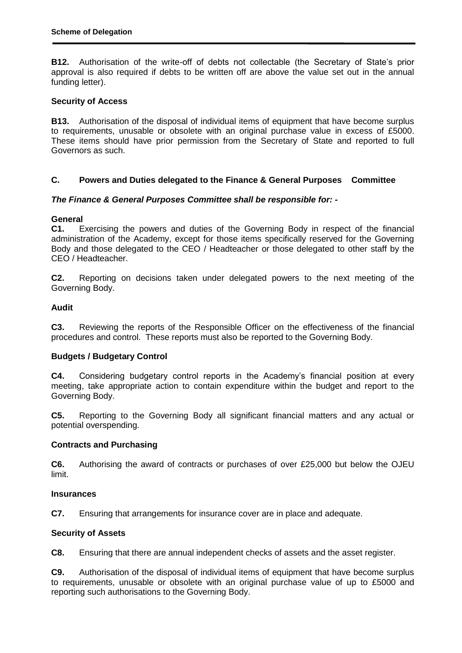**B12.** Authorisation of the write-off of debts not collectable (the Secretary of State's prior approval is also required if debts to be written off are above the value set out in the annual funding letter).

### **Security of Access**

**B13.** Authorisation of the disposal of individual items of equipment that have become surplus to requirements, unusable or obsolete with an original purchase value in excess of £5000. These items should have prior permission from the Secretary of State and reported to full Governors as such.

### **C. Powers and Duties delegated to the Finance & General Purposes Committee**

## *The Finance & General Purposes Committee shall be responsible for: -*

### **General**

**C1.** Exercising the powers and duties of the Governing Body in respect of the financial administration of the Academy, except for those items specifically reserved for the Governing Body and those delegated to the CEO / Headteacher or those delegated to other staff by the CEO / Headteacher.

**C2.** Reporting on decisions taken under delegated powers to the next meeting of the Governing Body.

### **Audit**

**C3.** Reviewing the reports of the Responsible Officer on the effectiveness of the financial procedures and control. These reports must also be reported to the Governing Body.

## **Budgets / Budgetary Control**

**C4.** Considering budgetary control reports in the Academy's financial position at every meeting, take appropriate action to contain expenditure within the budget and report to the Governing Body.

**C5.** Reporting to the Governing Body all significant financial matters and any actual or potential overspending.

## **Contracts and Purchasing**

**C6.** Authorising the award of contracts or purchases of over £25,000 but below the OJEU limit.

#### **Insurances**

**C7.** Ensuring that arrangements for insurance cover are in place and adequate.

## **Security of Assets**

**C8.** Ensuring that there are annual independent checks of assets and the asset register.

**C9.** Authorisation of the disposal of individual items of equipment that have become surplus to requirements, unusable or obsolete with an original purchase value of up to £5000 and reporting such authorisations to the Governing Body.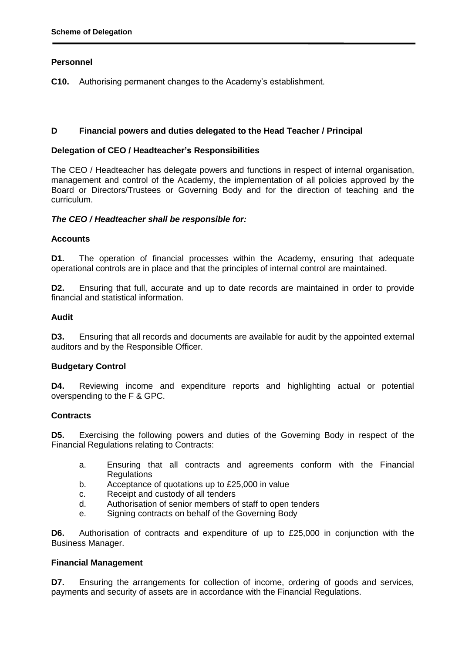## **Personnel**

**C10.** Authorising permanent changes to the Academy's establishment.

### **D Financial powers and duties delegated to the Head Teacher / Principal**

#### **Delegation of CEO / Headteacher's Responsibilities**

The CEO / Headteacher has delegate powers and functions in respect of internal organisation, management and control of the Academy, the implementation of all policies approved by the Board or Directors/Trustees or Governing Body and for the direction of teaching and the curriculum.

#### *The CEO / Headteacher shall be responsible for:*

### **Accounts**

**D1.** The operation of financial processes within the Academy, ensuring that adequate operational controls are in place and that the principles of internal control are maintained.

**D2.** Ensuring that full, accurate and up to date records are maintained in order to provide financial and statistical information.

### **Audit**

**D3.** Ensuring that all records and documents are available for audit by the appointed external auditors and by the Responsible Officer.

## **Budgetary Control**

**D4.** Reviewing income and expenditure reports and highlighting actual or potential overspending to the F & GPC.

#### **Contracts**

**D5.** Exercising the following powers and duties of the Governing Body in respect of the Financial Regulations relating to Contracts:

- a. Ensuring that all contracts and agreements conform with the Financial **Regulations**
- b. Acceptance of quotations up to £25,000 in value
- c. Receipt and custody of all tenders
- d. Authorisation of senior members of staff to open tenders
- e. Signing contracts on behalf of the Governing Body

**D6.** Authorisation of contracts and expenditure of up to £25,000 in conjunction with the Business Manager.

#### **Financial Management**

**D7.** Ensuring the arrangements for collection of income, ordering of goods and services, payments and security of assets are in accordance with the Financial Regulations.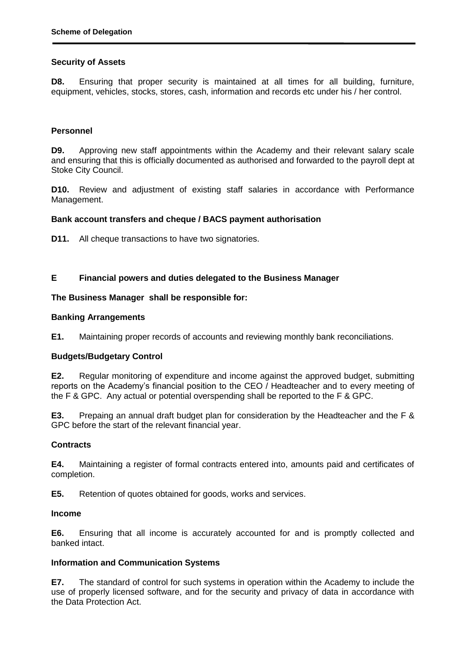## **Security of Assets**

**D8.** Ensuring that proper security is maintained at all times for all building, furniture, equipment, vehicles, stocks, stores, cash, information and records etc under his / her control.

### **Personnel**

**D9.** Approving new staff appointments within the Academy and their relevant salary scale and ensuring that this is officially documented as authorised and forwarded to the payroll dept at Stoke City Council.

**D10.** Review and adjustment of existing staff salaries in accordance with Performance Management.

#### **Bank account transfers and cheque / BACS payment authorisation**

**D11.** All cheque transactions to have two signatories.

## **E Financial powers and duties delegated to the Business Manager**

#### **The Business Manager shall be responsible for:**

#### **Banking Arrangements**

**E1.** Maintaining proper records of accounts and reviewing monthly bank reconciliations.

## **Budgets/Budgetary Control**

**E2.** Regular monitoring of expenditure and income against the approved budget, submitting reports on the Academy's financial position to the CEO / Headteacher and to every meeting of the F & GPC. Any actual or potential overspending shall be reported to the F & GPC.

**E3.** Prepaing an annual draft budget plan for consideration by the Headteacher and the F & GPC before the start of the relevant financial year.

#### **Contracts**

**E4.** Maintaining a register of formal contracts entered into, amounts paid and certificates of completion.

**E5.** Retention of quotes obtained for goods, works and services.

#### **Income**

**E6.** Ensuring that all income is accurately accounted for and is promptly collected and banked intact.

## **Information and Communication Systems**

**E7.** The standard of control for such systems in operation within the Academy to include the use of properly licensed software, and for the security and privacy of data in accordance with the Data Protection Act.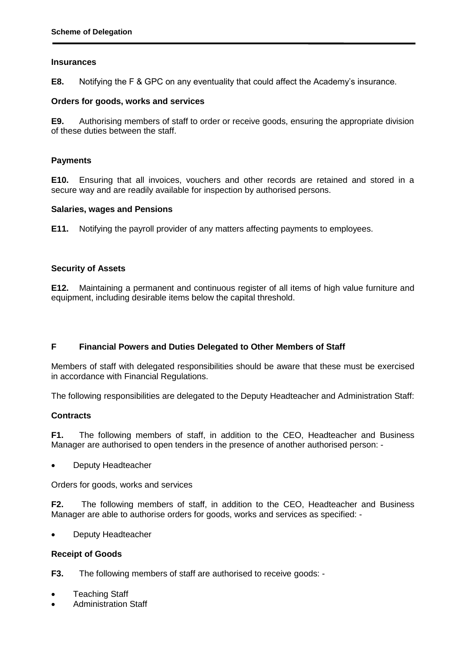#### **Insurances**

**E8.** Notifying the F & GPC on any eventuality that could affect the Academy's insurance.

#### **Orders for goods, works and services**

**E9.** Authorising members of staff to order or receive goods, ensuring the appropriate division of these duties between the staff.

### **Payments**

**E10.** Ensuring that all invoices, vouchers and other records are retained and stored in a secure way and are readily available for inspection by authorised persons.

### **Salaries, wages and Pensions**

**E11.** Notifying the payroll provider of any matters affecting payments to employees.

## **Security of Assets**

**E12.** Maintaining a permanent and continuous register of all items of high value furniture and equipment, including desirable items below the capital threshold.

## **F Financial Powers and Duties Delegated to Other Members of Staff**

Members of staff with delegated responsibilities should be aware that these must be exercised in accordance with Financial Regulations.

The following responsibilities are delegated to the Deputy Headteacher and Administration Staff:

## **Contracts**

**F1.** The following members of staff, in addition to the CEO, Headteacher and Business Manager are authorised to open tenders in the presence of another authorised person: -

Deputy Headteacher

Orders for goods, works and services

**F2.** The following members of staff, in addition to the CEO, Headteacher and Business Manager are able to authorise orders for goods, works and services as specified: -

Deputy Headteacher

## **Receipt of Goods**

**F3.** The following members of staff are authorised to receive goods: -

- Teaching Staff
- Administration Staff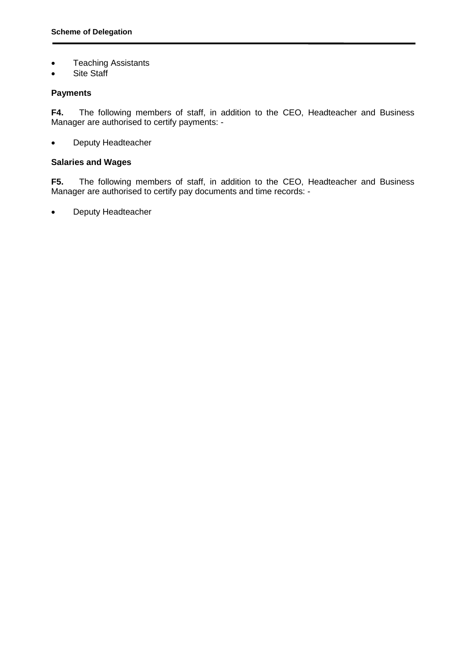- Teaching Assistants
- Site Staff

## **Payments**

**F4.** The following members of staff, in addition to the CEO, Headteacher and Business Manager are authorised to certify payments: -

• Deputy Headteacher

## **Salaries and Wages**

**F5.** The following members of staff, in addition to the CEO, Headteacher and Business Manager are authorised to certify pay documents and time records: -

• Deputy Headteacher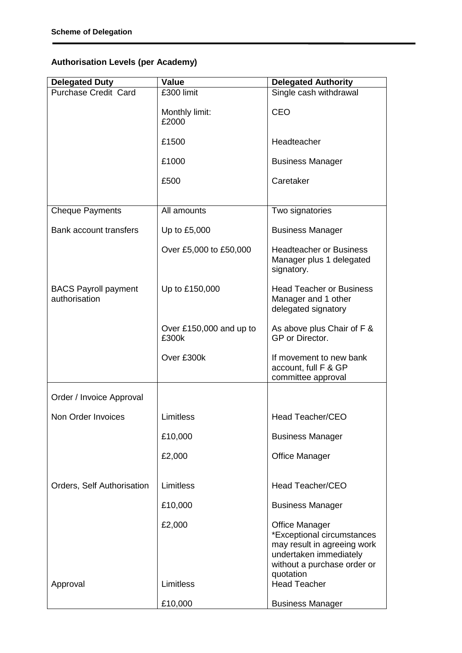# **Authorisation Levels (per Academy)**

| <b>Delegated Duty</b>                        | <b>Value</b>                     | <b>Delegated Authority</b>                                                                                                                               |
|----------------------------------------------|----------------------------------|----------------------------------------------------------------------------------------------------------------------------------------------------------|
| <b>Purchase Credit Card</b>                  | £300 limit                       | Single cash withdrawal                                                                                                                                   |
|                                              | Monthly limit:<br>£2000          | <b>CEO</b>                                                                                                                                               |
|                                              | £1500                            | Headteacher                                                                                                                                              |
|                                              | £1000                            | <b>Business Manager</b>                                                                                                                                  |
|                                              | £500                             | Caretaker                                                                                                                                                |
|                                              |                                  |                                                                                                                                                          |
| <b>Cheque Payments</b>                       | All amounts                      | Two signatories                                                                                                                                          |
| Bank account transfers                       | Up to £5,000                     | <b>Business Manager</b>                                                                                                                                  |
|                                              | Over £5,000 to £50,000           | <b>Headteacher or Business</b><br>Manager plus 1 delegated<br>signatory.                                                                                 |
| <b>BACS Payroll payment</b><br>authorisation | Up to £150,000                   | <b>Head Teacher or Business</b><br>Manager and 1 other<br>delegated signatory                                                                            |
|                                              | Over £150,000 and up to<br>£300k | As above plus Chair of F &<br>GP or Director.                                                                                                            |
|                                              | Over £300k                       | If movement to new bank<br>account, full F & GP<br>committee approval                                                                                    |
|                                              |                                  |                                                                                                                                                          |
| Order / Invoice Approval                     |                                  |                                                                                                                                                          |
| Non Order Invoices                           | Limitless                        | <b>Head Teacher/CEO</b>                                                                                                                                  |
|                                              | £10,000                          | <b>Business Manager</b>                                                                                                                                  |
|                                              | £2,000                           | <b>Office Manager</b>                                                                                                                                    |
| Orders, Self Authorisation                   | Limitless                        | Head Teacher/CEO                                                                                                                                         |
|                                              | £10,000                          | <b>Business Manager</b>                                                                                                                                  |
|                                              | £2,000                           | <b>Office Manager</b><br>*Exceptional circumstances<br>may result in agreeing work<br>undertaken immediately<br>without a purchase order or<br>quotation |
| Approval                                     | Limitless                        | <b>Head Teacher</b>                                                                                                                                      |
|                                              | £10,000                          | <b>Business Manager</b>                                                                                                                                  |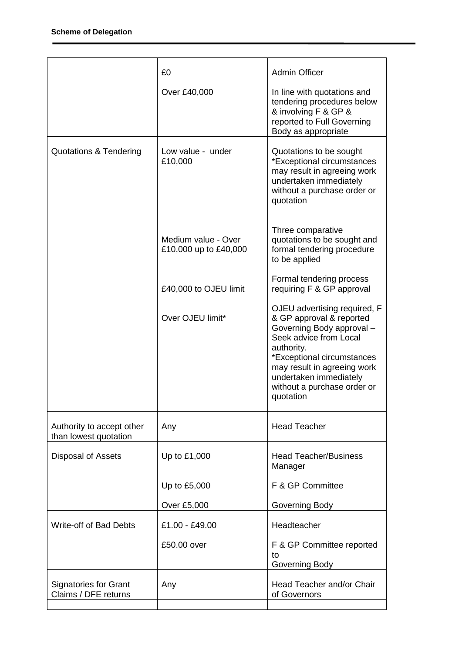|                                                      | £0                                           | <b>Admin Officer</b>                                                                                                                                                                                                                                             |
|------------------------------------------------------|----------------------------------------------|------------------------------------------------------------------------------------------------------------------------------------------------------------------------------------------------------------------------------------------------------------------|
|                                                      | Over £40,000                                 | In line with quotations and<br>tendering procedures below<br>& involving F & GP &<br>reported to Full Governing<br>Body as appropriate                                                                                                                           |
| <b>Quotations &amp; Tendering</b>                    | Low value - under<br>£10,000                 | Quotations to be sought<br>*Exceptional circumstances<br>may result in agreeing work<br>undertaken immediately<br>without a purchase order or<br>quotation                                                                                                       |
|                                                      | Medium value - Over<br>£10,000 up to £40,000 | Three comparative<br>quotations to be sought and<br>formal tendering procedure<br>to be applied                                                                                                                                                                  |
|                                                      | £40,000 to OJEU limit                        | Formal tendering process<br>requiring F & GP approval                                                                                                                                                                                                            |
|                                                      | Over OJEU limit*                             | OJEU advertising required, F<br>& GP approval & reported<br>Governing Body approval -<br>Seek advice from Local<br>authority.<br>*Exceptional circumstances<br>may result in agreeing work<br>undertaken immediately<br>without a purchase order or<br>quotation |
| Authority to accept other<br>than lowest quotation   | Any                                          | <b>Head Teacher</b>                                                                                                                                                                                                                                              |
| Disposal of Assets                                   | Up to £1,000                                 | <b>Head Teacher/Business</b><br>Manager                                                                                                                                                                                                                          |
|                                                      | Up to £5,000                                 | F & GP Committee                                                                                                                                                                                                                                                 |
|                                                      | Over £5,000                                  | Governing Body                                                                                                                                                                                                                                                   |
| Write-off of Bad Debts                               | £1.00 - £49.00                               | Headteacher                                                                                                                                                                                                                                                      |
|                                                      | £50.00 over                                  | F & GP Committee reported<br>to<br>Governing Body                                                                                                                                                                                                                |
| <b>Signatories for Grant</b><br>Claims / DFE returns | Any                                          | Head Teacher and/or Chair<br>of Governors                                                                                                                                                                                                                        |
|                                                      |                                              |                                                                                                                                                                                                                                                                  |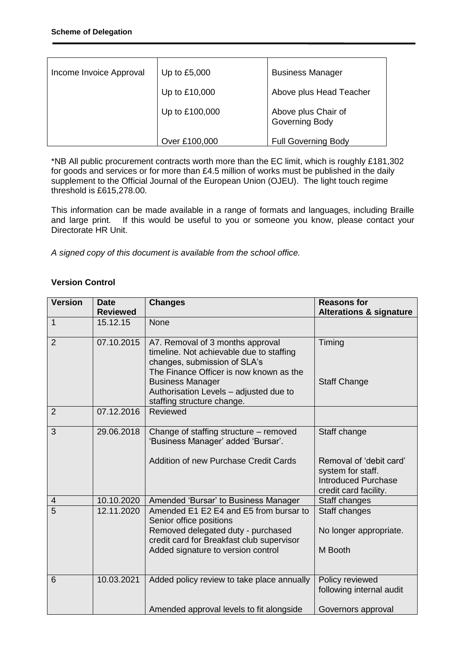| Income Invoice Approval | Up to £5,000   | <b>Business Manager</b>               |
|-------------------------|----------------|---------------------------------------|
|                         | Up to £10,000  | Above plus Head Teacher               |
|                         | Up to £100,000 | Above plus Chair of<br>Governing Body |
|                         | Over £100,000  | <b>Full Governing Body</b>            |

\*NB All public procurement contracts worth more than the EC limit, which is roughly £181,302 for goods and services or for more than £4.5 million of works must be published in the daily supplement to the Official Journal of the European Union (OJEU). The light touch regime threshold is £615,278.00.

This information can be made available in a range of formats and languages, including Braille and large print. If this would be useful to you or someone you know, please contact your Directorate HR Unit.

*A signed copy of this document is available from the school office.*

## **Version Control**

| <b>Version</b> | <b>Date</b>     | <b>Changes</b>                                                                                                                                                                                                                                             | <b>Reasons for</b>                                                                                                  |
|----------------|-----------------|------------------------------------------------------------------------------------------------------------------------------------------------------------------------------------------------------------------------------------------------------------|---------------------------------------------------------------------------------------------------------------------|
|                | <b>Reviewed</b> |                                                                                                                                                                                                                                                            | <b>Alterations &amp; signature</b>                                                                                  |
| $\mathbf{1}$   | 15.12.15        | <b>None</b>                                                                                                                                                                                                                                                |                                                                                                                     |
| $\overline{2}$ | 07.10.2015      | A7. Removal of 3 months approval<br>timeline. Not achievable due to staffing<br>changes, submission of SLA's<br>The Finance Officer is now known as the<br><b>Business Manager</b><br>Authorisation Levels - adjusted due to<br>staffing structure change. | Timing<br><b>Staff Change</b>                                                                                       |
| $\overline{2}$ | 07.12.2016      | Reviewed                                                                                                                                                                                                                                                   |                                                                                                                     |
| 3              | 29.06.2018      | Change of staffing structure – removed<br>'Business Manager' added 'Bursar'.<br><b>Addition of new Purchase Credit Cards</b>                                                                                                                               | Staff change<br>Removal of 'debit card'<br>system for staff.<br><b>Introduced Purchase</b><br>credit card facility. |
| 4              | 10.10.2020      | Amended 'Bursar' to Business Manager                                                                                                                                                                                                                       | Staff changes                                                                                                       |
| $\overline{5}$ | 12.11.2020      | Amended E1 E2 E4 and E5 from bursar to<br>Senior office positions<br>Removed delegated duty - purchased<br>credit card for Breakfast club supervisor<br>Added signature to version control                                                                 | Staff changes<br>No longer appropriate.<br>M Booth                                                                  |
| 6              | 10.03.2021      | Added policy review to take place annually<br>Amended approval levels to fit alongside                                                                                                                                                                     | Policy reviewed<br>following internal audit<br>Governors approval                                                   |